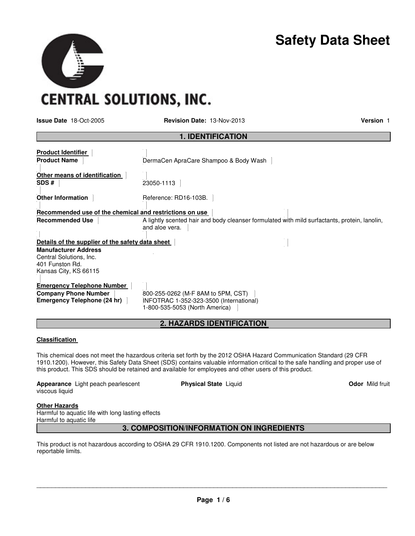## **Safety Data Sheet**

**CENTRAL SOLUTIONS, INC.** 

**Issue Date** 18-Oct-2005 **Revision Date:** 13-Nov-2013 **Version** 1

| <b>1. IDENTIFICATION</b>                                                                           |                                                                                                                 |  |  |  |
|----------------------------------------------------------------------------------------------------|-----------------------------------------------------------------------------------------------------------------|--|--|--|
| <b>Product Identifier</b><br><b>Product Name</b>                                                   | DermaCen ApraCare Shampoo & Body Wash                                                                           |  |  |  |
| Other means of identification<br>SDS#                                                              | 23050-1113                                                                                                      |  |  |  |
| <b>Other Information</b>                                                                           | Reference: RD16-103B.                                                                                           |  |  |  |
| Recommended use of the chemical and restrictions on use                                            |                                                                                                                 |  |  |  |
| <b>Recommended Use</b>                                                                             | A lightly scented hair and body cleanser formulated with mild surfactants, protein, lanolin,<br>and aloe vera.  |  |  |  |
| Details of the supplier of the safety data sheet                                                   |                                                                                                                 |  |  |  |
| <b>Manufacturer Address</b><br>Central Solutions, Inc.<br>401 Funston Rd.<br>Kansas City, KS 66115 |                                                                                                                 |  |  |  |
| <b>Emergency Telephone Number</b><br><b>Company Phone Number</b><br>Emergency Telephone (24 hr)    | 800-255-0262 (M-F 8AM to 5PM, CST)<br>INFOTRAC 1-352-323-3500 (International)<br>1-800-535-5053 (North America) |  |  |  |

## **2. HAZARDS IDENTIFICATION**

## **Classification**

This chemical does not meet the hazardous criteria set forth by the 2012 OSHA Hazard Communication Standard (29 CFR 1910.1200). However, this Safety Data Sheet (SDS) contains valuable information critical to the safe handling and proper use of this product. This SDS should be retained and available for employees and other users of this product.

**Appearance** Light peach pearlescent viscous liquid

**Physical State Liquid Community Community Community Community Community Community Community Community Community Community Community Community Community Community Community Community Community Community Community Community** 

## **Other Hazards**

Harmful to aquatic life with long lasting effects Harmful to aquatic life

## **3. COMPOSITION/INFORMATION ON INGREDIENTS**

This product is not hazardous according to OSHA 29 CFR 1910.1200. Components not listed are not hazardous or are below reportable limits.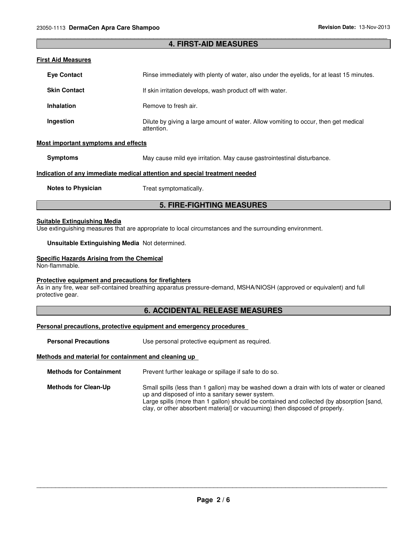## \_\_\_\_\_\_\_\_\_\_\_\_\_\_\_\_\_\_\_\_\_\_\_\_\_\_\_\_\_\_\_\_\_\_\_\_\_\_\_\_\_\_\_\_\_\_\_\_\_\_\_\_\_\_\_\_\_\_\_\_\_\_\_\_\_\_\_\_\_\_\_\_\_\_\_\_\_\_\_\_\_\_\_\_\_\_\_\_\_\_\_\_\_ **4. FIRST-AID MEASURES**

#### **First Aid Measures**

| <b>Eve Contact</b>                                                         | Rinse immediately with plenty of water, also under the evelids, for at least 15 minutes.          |  |  |
|----------------------------------------------------------------------------|---------------------------------------------------------------------------------------------------|--|--|
| <b>Skin Contact</b>                                                        | If skin irritation develops, wash product off with water.                                         |  |  |
| <b>Inhalation</b>                                                          | Remove to fresh air.                                                                              |  |  |
| Ingestion                                                                  | Dilute by giving a large amount of water. Allow vomiting to occur, then get medical<br>attention. |  |  |
| <b>Most important symptoms and effects</b>                                 |                                                                                                   |  |  |
| <b>Symptoms</b>                                                            | May cause mild eye irritation. May cause gastrointestinal disturbance.                            |  |  |
| Indication of any immediate medical attention and special treatment needed |                                                                                                   |  |  |
| <b>Notes to Physician</b>                                                  | Treat symptomatically.                                                                            |  |  |

## **5. FIRE-FIGHTING MEASURES**

#### **Suitable Extinguishing Media**

Use extinguishing measures that are appropriate to local circumstances and the surrounding environment.

**Unsuitable Extinguishing Media** Not determined.

#### **Specific Hazards Arising from the Chemical**

Non-flammable.

## **Protective equipment and precautions for firefighters**

As in any fire, wear self-contained breathing apparatus pressure-demand, MSHA/NIOSH (approved or equivalent) and full protective gear.

## **6. ACCIDENTAL RELEASE MEASURES**

## **Personal precautions, protective equipment and emergency procedures**

**Personal Precautions Use personal protective equipment as required.** 

#### **Methods and material for containment and cleaning up**

**Methods for Containment** Prevent further leakage or spillage if safe to do so.

**Methods for Clean-Up** Small spills (less than 1 gallon) may be washed down a drain with lots of water or cleaned up and disposed of into a sanitary sewer system. Large spills (more than 1 gallon) should be contained and collected (by absorption [sand, clay, or other absorbent material] or vacuuming) then disposed of properly.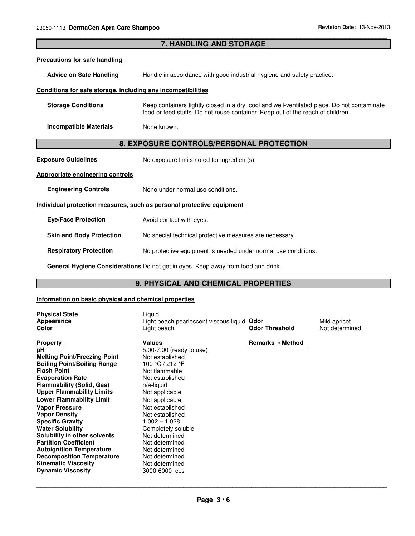| 7. HANDLING AND STORAGE                                                           |                                                                                                                                                                                |  |  |  |
|-----------------------------------------------------------------------------------|--------------------------------------------------------------------------------------------------------------------------------------------------------------------------------|--|--|--|
| <b>Precautions for safe handling</b>                                              |                                                                                                                                                                                |  |  |  |
| <b>Advice on Safe Handling</b>                                                    | Handle in accordance with good industrial hygiene and safety practice.                                                                                                         |  |  |  |
| Conditions for safe storage, including any incompatibilities                      |                                                                                                                                                                                |  |  |  |
| <b>Storage Conditions</b>                                                         | Keep containers tightly closed in a dry, cool and well-ventilated place. Do not contaminate<br>food or feed stuffs. Do not reuse container. Keep out of the reach of children. |  |  |  |
| <b>Incompatible Materials</b>                                                     | None known.                                                                                                                                                                    |  |  |  |
| 8. EXPOSURE CONTROLS/PERSONAL PROTECTION                                          |                                                                                                                                                                                |  |  |  |
| <b>Exposure Guidelines</b>                                                        | No exposure limits noted for ingredient(s)                                                                                                                                     |  |  |  |
| <b>Appropriate engineering controls</b>                                           |                                                                                                                                                                                |  |  |  |
| <b>Engineering Controls</b>                                                       | None under normal use conditions.                                                                                                                                              |  |  |  |
| Individual protection measures, such as personal protective equipment             |                                                                                                                                                                                |  |  |  |
| <b>Eye/Face Protection</b>                                                        | Avoid contact with eyes.                                                                                                                                                       |  |  |  |
| <b>Skin and Body Protection</b>                                                   | No special technical protective measures are necessary.                                                                                                                        |  |  |  |
| <b>Respiratory Protection</b>                                                     | No protective equipment is needed under normal use conditions.                                                                                                                 |  |  |  |
| General Hygiene Considerations Do not get in eyes. Keep away from food and drink. |                                                                                                                                                                                |  |  |  |

\_\_\_\_\_\_\_\_\_\_\_\_\_\_\_\_\_\_\_\_\_\_\_\_\_\_\_\_\_\_\_\_\_\_\_\_\_\_\_\_\_\_\_\_\_\_\_\_\_\_\_\_\_\_\_\_\_\_\_\_\_\_\_\_\_\_\_\_\_\_\_\_\_\_\_\_\_\_\_\_\_\_\_\_\_\_\_\_\_\_\_\_\_

## **9. PHYSICAL AND CHEMICAL PROPERTIES**

## **Information on basic physical and chemical properties**

| <b>Physical State</b><br>Appearance<br>Color                                                                                                                                                                                                                                                                                                                                                                                                                                                                                                                           | Liquid<br>Light peach pearlescent viscous liquid Odor<br>Light peach                                                                                                                                                                                                                                                                                      | <b>Odor Threshold</b> | Mild apricot<br>Not determined |
|------------------------------------------------------------------------------------------------------------------------------------------------------------------------------------------------------------------------------------------------------------------------------------------------------------------------------------------------------------------------------------------------------------------------------------------------------------------------------------------------------------------------------------------------------------------------|-----------------------------------------------------------------------------------------------------------------------------------------------------------------------------------------------------------------------------------------------------------------------------------------------------------------------------------------------------------|-----------------------|--------------------------------|
| <b>Property</b><br>рH<br><b>Melting Point/Freezing Point</b><br><b>Boiling Point/Boiling Range</b><br><b>Flash Point</b><br><b>Evaporation Rate</b><br><b>Flammability (Solid, Gas)</b><br><b>Upper Flammability Limits</b><br><b>Lower Flammability Limit</b><br><b>Vapor Pressure</b><br><b>Vapor Density</b><br><b>Specific Gravity</b><br><b>Water Solubility</b><br>Solubility in other solvents<br><b>Partition Coefficient</b><br><b>Autoignition Temperature</b><br><b>Decomposition Temperature</b><br><b>Kinematic Viscosity</b><br><b>Dynamic Viscosity</b> | Values<br>5.00-7.00 (ready to use)<br>Not established<br>100 ℃ / 212 F<br>Not flammable<br>Not established<br>$n/a$ -liquid<br>Not applicable<br>Not applicable<br>Not established<br>Not established<br>$1.002 - 1.028$<br>Completely soluble<br>Not determined<br>Not determined<br>Not determined<br>Not determined<br>Not determined<br>3000-6000 cps | Remarks • Method      |                                |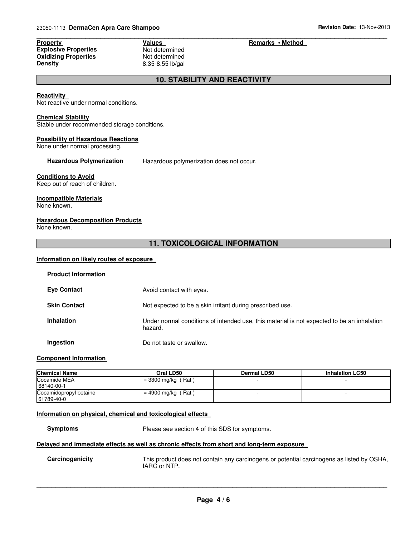**Explosive Properties** Not determined **Oxidizing Properties Not determined**<br> **Density 8.35-8.55 lb/gal** 

# **Density** 8.35-8.55 lb/gal

#### \_\_\_\_\_\_\_\_\_\_\_\_\_\_\_\_\_\_\_\_\_\_\_\_\_\_\_\_\_\_\_\_\_\_\_\_\_\_\_\_\_\_\_\_\_\_\_\_\_\_\_\_\_\_\_\_\_\_\_\_\_\_\_\_\_\_\_\_\_\_\_\_\_\_\_\_\_\_\_\_\_\_\_\_\_\_\_\_\_\_\_\_\_ **Property Construction Construction Values Accord Property Remarks • Method**

## **10. STABILITY AND REACTIVITY**

#### **Reactivity**

Not reactive under normal conditions.

#### **Chemical Stability**

Stable under recommended storage conditions.

#### **Possibility of Hazardous Reactions**

None under normal processing.

**Hazardous Polymerization** Hazardous polymerization does not occur.

## **Conditions to Avoid**

Keep out of reach of children.

## **Incompatible Materials**

None known.

## **Hazardous Decomposition Products**

None known.

## **11. TOXICOLOGICAL INFORMATION**

## **Information on likely routes of exposure**

| <b>Product Information</b> |                                                                                                       |
|----------------------------|-------------------------------------------------------------------------------------------------------|
| <b>Eye Contact</b>         | Avoid contact with eyes.                                                                              |
| <b>Skin Contact</b>        | Not expected to be a skin irritant during prescribed use.                                             |
| <b>Inhalation</b>          | Under normal conditions of intended use, this material is not expected to be an inhalation<br>hazard. |
| Ingestion                  | Do not taste or swallow.                                                                              |

## **Component Information**

| <b>Chemical Name</b><br>Oral LD50    |                      | Dermal LD50 | <b>Inhalation LC50</b> |
|--------------------------------------|----------------------|-------------|------------------------|
| Cocamide MEA<br>68140-00-1           | $= 3300$ mg/kg (Rat) |             |                        |
| Cocamidopropyl betaine<br>61789-40-0 | = 4900 mg/kg (Rat)   |             |                        |

## **Information on physical, chemical and toxicological effects**

**Symptoms** Please see section 4 of this SDS for symptoms.

## **Delayed and immediate effects as well as chronic effects from short and long-term exposure**

**Carcinogenicity** This product does not contain any carcinogens or potential carcinogens as listed by OSHA, IARC or NTP.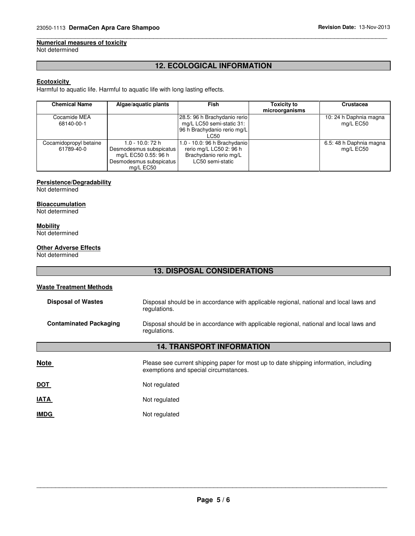## **Numerical measures of toxicity**

Not determined

## **12. ECOLOGICAL INFORMATION**

\_\_\_\_\_\_\_\_\_\_\_\_\_\_\_\_\_\_\_\_\_\_\_\_\_\_\_\_\_\_\_\_\_\_\_\_\_\_\_\_\_\_\_\_\_\_\_\_\_\_\_\_\_\_\_\_\_\_\_\_\_\_\_\_\_\_\_\_\_\_\_\_\_\_\_\_\_\_\_\_\_\_\_\_\_\_\_\_\_\_\_\_\_

## **Ecotoxicity**

Harmful to aquatic life. Harmful to aquatic life with long lasting effects.

| <b>Chemical Name</b>                 | Algae/aquatic plants                                                                                        | Fish                                                                                                  | <b>Toxicity to</b><br>microorganisms | Crustacea                            |
|--------------------------------------|-------------------------------------------------------------------------------------------------------------|-------------------------------------------------------------------------------------------------------|--------------------------------------|--------------------------------------|
| Cocamide MEA<br>68140-00-1           |                                                                                                             | 28.5: 96 h Brachydanio rerio<br>mg/L LC50 semi-static 31:<br>96 h Brachydanio rerio mg/L<br>LC50      |                                      | 10: 24 h Daphnia magna<br>mg/L EC50  |
| Cocamidopropyl betaine<br>61789-40-0 | 1.0 - 10.0: 72 h<br>Desmodesmus subspicatus<br>mg/L EC50 0.55: 96 h<br>Desmodesmus subspicatus<br>mg/L EC50 | 1.0 - 10.0: 96 h Brachydanio<br>rerio mg/L LC50 2: 96 h<br>Brachydanio rerio mg/L<br>LC50 semi-static |                                      | 6.5: 48 h Daphnia magna<br>mg/L EC50 |

## **Persistence/Degradability**

Not determined

## **Bioaccumulation**

Not determined

#### **Mobility**

Not determined

## **Other Adverse Effects**

Not determined

## **13. DISPOSAL CONSIDERATIONS**

#### **Waste Treatment Methods**

| <b>Disposal of Wastes</b>        | Disposal should be in accordance with applicable regional, national and local laws and<br>regulations.                         |  |  |
|----------------------------------|--------------------------------------------------------------------------------------------------------------------------------|--|--|
| <b>Contaminated Packaging</b>    | Disposal should be in accordance with applicable regional, national and local laws and<br>regulations.                         |  |  |
| <b>14. TRANSPORT INFORMATION</b> |                                                                                                                                |  |  |
| <b>Note</b>                      | Please see current shipping paper for most up to date shipping information, including<br>exemptions and special circumstances. |  |  |
| <u>DOT</u>                       | Not regulated                                                                                                                  |  |  |
| <b>IATA</b>                      | Not regulated                                                                                                                  |  |  |
| <b>IMDG</b>                      | Not regulated                                                                                                                  |  |  |